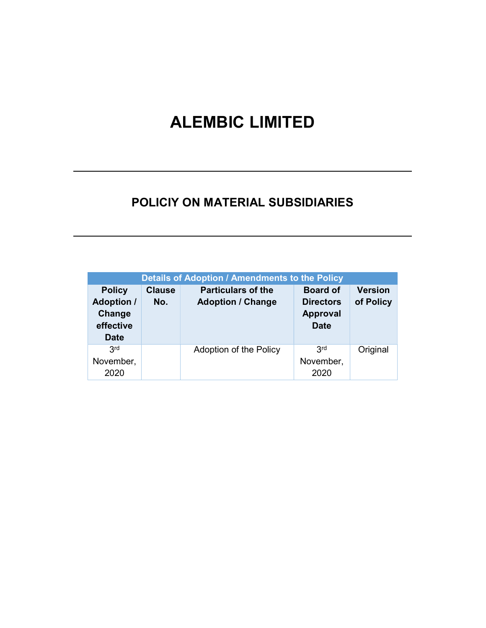# ALEMBIC LIMITED

# POLICIY ON MATERIAL SUBSIDIARIES

| Details of Adoption / Amendments to the Policy                           |                      |                                                       |                                                                       |                             |
|--------------------------------------------------------------------------|----------------------|-------------------------------------------------------|-----------------------------------------------------------------------|-----------------------------|
| <b>Policy</b><br><b>Adoption /</b><br>Change<br>effective<br><b>Date</b> | <b>Clause</b><br>No. | <b>Particulars of the</b><br><b>Adoption / Change</b> | <b>Board of</b><br><b>Directors</b><br><b>Approval</b><br><b>Date</b> | <b>Version</b><br>of Policy |
| 3 <sup>rd</sup><br>November,<br>2020                                     |                      | Adoption of the Policy                                | 3rd<br>November,<br>2020                                              | Original                    |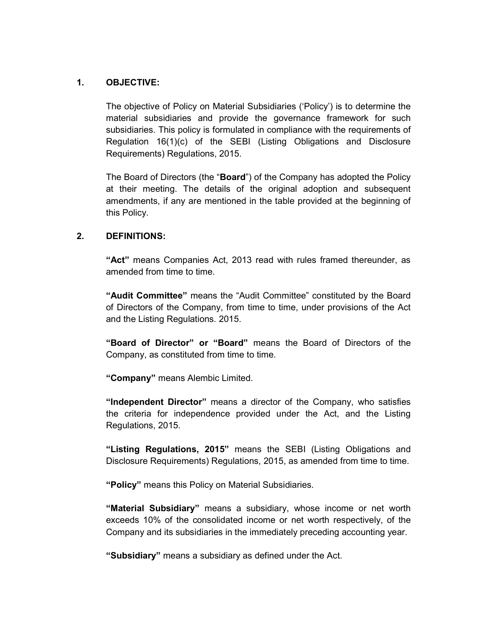### 1. OBJECTIVE:

The objective of Policy on Material Subsidiaries ('Policy') is to determine the material subsidiaries and provide the governance framework for such subsidiaries. This policy is formulated in compliance with the requirements of Regulation 16(1)(c) of the SEBI (Listing Obligations and Disclosure Requirements) Regulations, 2015.

The Board of Directors (the "Board") of the Company has adopted the Policy at their meeting. The details of the original adoption and subsequent amendments, if any are mentioned in the table provided at the beginning of this Policy.

### 2. DEFINITIONS:

"Act" means Companies Act, 2013 read with rules framed thereunder, as amended from time to time.

"Audit Committee" means the "Audit Committee" constituted by the Board of Directors of the Company, from time to time, under provisions of the Act and the Listing Regulations. 2015.

"Board of Director" or "Board" means the Board of Directors of the Company, as constituted from time to time.

"Company" means Alembic Limited.

"Independent Director" means a director of the Company, who satisfies the criteria for independence provided under the Act, and the Listing Regulations, 2015.

"Listing Regulations, 2015" means the SEBI (Listing Obligations and Disclosure Requirements) Regulations, 2015, as amended from time to time.

"Policy" means this Policy on Material Subsidiaries.

"Material Subsidiary" means a subsidiary, whose income or net worth exceeds 10% of the consolidated income or net worth respectively, of the Company and its subsidiaries in the immediately preceding accounting year.

"Subsidiary" means a subsidiary as defined under the Act.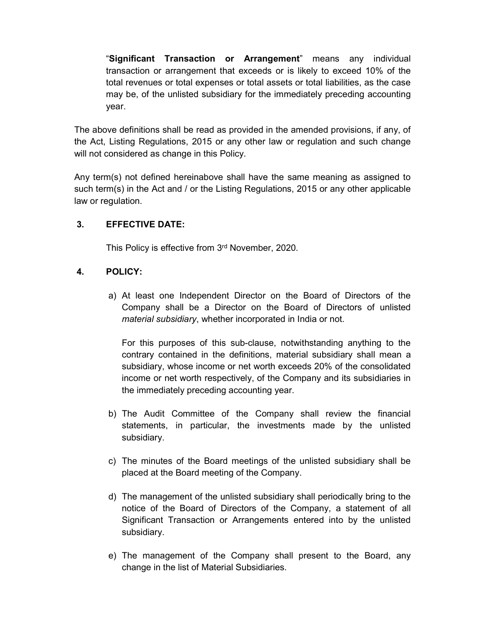"Significant Transaction or Arrangement" means any individual transaction or arrangement that exceeds or is likely to exceed 10% of the total revenues or total expenses or total assets or total liabilities, as the case may be, of the unlisted subsidiary for the immediately preceding accounting year.

The above definitions shall be read as provided in the amended provisions, if any, of the Act, Listing Regulations, 2015 or any other law or regulation and such change will not considered as change in this Policy.

Any term(s) not defined hereinabove shall have the same meaning as assigned to such term(s) in the Act and / or the Listing Regulations, 2015 or any other applicable law or regulation.

# 3. EFFECTIVE DATE:

This Policy is effective from 3rd November, 2020.

# 4. POLICY:

a) At least one Independent Director on the Board of Directors of the Company shall be a Director on the Board of Directors of unlisted material subsidiary, whether incorporated in India or not.

For this purposes of this sub-clause, notwithstanding anything to the contrary contained in the definitions, material subsidiary shall mean a subsidiary, whose income or net worth exceeds 20% of the consolidated income or net worth respectively, of the Company and its subsidiaries in the immediately preceding accounting year.

- b) The Audit Committee of the Company shall review the financial statements, in particular, the investments made by the unlisted subsidiary.
- c) The minutes of the Board meetings of the unlisted subsidiary shall be placed at the Board meeting of the Company.
- d) The management of the unlisted subsidiary shall periodically bring to the notice of the Board of Directors of the Company, a statement of all Significant Transaction or Arrangements entered into by the unlisted subsidiary.
- e) The management of the Company shall present to the Board, any change in the list of Material Subsidiaries.